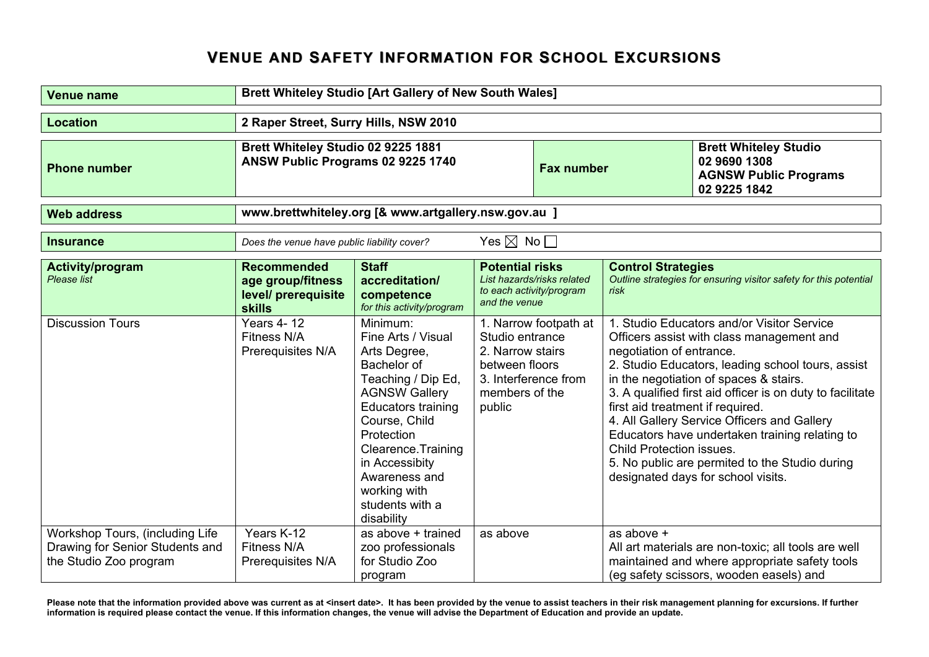## **VENUE AND SAFETY INFORMATION FOR SCHOOL EXCURSIONS**

| <b>Venue name</b>                                                                            | <b>Brett Whiteley Studio [Art Gallery of New South Wales]</b>                   |                                                                                                                                                                                                                                                                                    |                                                                                   |                                                        |                                                                                                 |                                                                                                                                                                                                                                                                                                                                                                                                                                              |
|----------------------------------------------------------------------------------------------|---------------------------------------------------------------------------------|------------------------------------------------------------------------------------------------------------------------------------------------------------------------------------------------------------------------------------------------------------------------------------|-----------------------------------------------------------------------------------|--------------------------------------------------------|-------------------------------------------------------------------------------------------------|----------------------------------------------------------------------------------------------------------------------------------------------------------------------------------------------------------------------------------------------------------------------------------------------------------------------------------------------------------------------------------------------------------------------------------------------|
| <b>Location</b>                                                                              | 2 Raper Street, Surry Hills, NSW 2010                                           |                                                                                                                                                                                                                                                                                    |                                                                                   |                                                        |                                                                                                 |                                                                                                                                                                                                                                                                                                                                                                                                                                              |
| <b>Phone number</b>                                                                          | Brett Whiteley Studio 02 9225 1881<br>ANSW Public Programs 02 9225 1740         |                                                                                                                                                                                                                                                                                    | <b>Fax number</b>                                                                 |                                                        | <b>Brett Whiteley Studio</b><br>02 9690 1308<br><b>AGNSW Public Programs</b><br>02 9225 1842    |                                                                                                                                                                                                                                                                                                                                                                                                                                              |
| <b>Web address</b>                                                                           | www.brettwhiteley.org [& www.artgallery.nsw.gov.au ]                            |                                                                                                                                                                                                                                                                                    |                                                                                   |                                                        |                                                                                                 |                                                                                                                                                                                                                                                                                                                                                                                                                                              |
| <b>Insurance</b>                                                                             | Yes $\boxtimes$ No $\Box$<br>Does the venue have public liability cover?        |                                                                                                                                                                                                                                                                                    |                                                                                   |                                                        |                                                                                                 |                                                                                                                                                                                                                                                                                                                                                                                                                                              |
| Activity/program<br>Please list                                                              | <b>Recommended</b><br>age group/fitness<br>level/ prerequisite<br><b>skills</b> | <b>Staff</b><br>accreditation/<br>competence<br>for this activity/program                                                                                                                                                                                                          | <b>Potential risks</b><br>and the venue                                           | List hazards/risks related<br>to each activity/program | <b>Control Strategies</b><br>risk                                                               | Outline strategies for ensuring visitor safety for this potential                                                                                                                                                                                                                                                                                                                                                                            |
| <b>Discussion Tours</b>                                                                      | <b>Years 4-12</b><br>Fitness N/A<br>Prerequisites N/A                           | Minimum:<br>Fine Arts / Visual<br>Arts Degree,<br>Bachelor of<br>Teaching / Dip Ed,<br><b>AGNSW Gallery</b><br><b>Educators training</b><br>Course, Child<br>Protection<br>Clearence. Training<br>in Accessibity<br>Awareness and<br>working with<br>students with a<br>disability | Studio entrance<br>2. Narrow stairs<br>between floors<br>members of the<br>public | 1. Narrow footpath at<br>3. Interference from          | negotiation of entrance.<br>first aid treatment if required.<br><b>Child Protection issues.</b> | 1. Studio Educators and/or Visitor Service<br>Officers assist with class management and<br>2. Studio Educators, leading school tours, assist<br>in the negotiation of spaces & stairs.<br>3. A qualified first aid officer is on duty to facilitate<br>4. All Gallery Service Officers and Gallery<br>Educators have undertaken training relating to<br>5. No public are permited to the Studio during<br>designated days for school visits. |
| Workshop Tours, (including Life<br>Drawing for Senior Students and<br>the Studio Zoo program | Years K-12<br>Fitness N/A<br>Prerequisites N/A                                  | as above + trained<br>zoo professionals<br>for Studio Zoo<br>program                                                                                                                                                                                                               | as above                                                                          |                                                        | as above +                                                                                      | All art materials are non-toxic; all tools are well<br>maintained and where appropriate safety tools<br>(eg safety scissors, wooden easels) and                                                                                                                                                                                                                                                                                              |

**Please note that the information provided above was current as at <insert date>. It has been provided by the venue to assist teachers in their risk management planning for excursions. If further information is required please contact the venue. If this information changes, the venue will advise the Department of Education and provide an update.**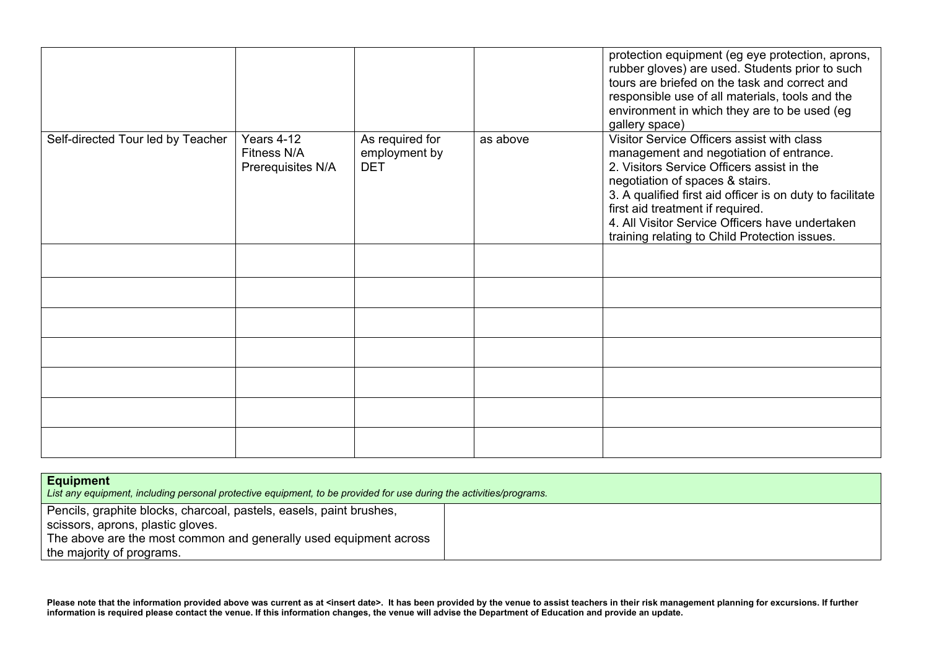|                                   |                                                |                                                |          | protection equipment (eg eye protection, aprons,<br>rubber gloves) are used. Students prior to such<br>tours are briefed on the task and correct and<br>responsible use of all materials, tools and the<br>environment in which they are to be used (eg<br>gallery space)                                                                                                   |
|-----------------------------------|------------------------------------------------|------------------------------------------------|----------|-----------------------------------------------------------------------------------------------------------------------------------------------------------------------------------------------------------------------------------------------------------------------------------------------------------------------------------------------------------------------------|
| Self-directed Tour led by Teacher | Years 4-12<br>Fitness N/A<br>Prerequisites N/A | As required for<br>employment by<br><b>DET</b> | as above | Visitor Service Officers assist with class<br>management and negotiation of entrance.<br>2. Visitors Service Officers assist in the<br>negotiation of spaces & stairs.<br>3. A qualified first aid officer is on duty to facilitate<br>first aid treatment if required.<br>4. All Visitor Service Officers have undertaken<br>training relating to Child Protection issues. |
|                                   |                                                |                                                |          |                                                                                                                                                                                                                                                                                                                                                                             |
|                                   |                                                |                                                |          |                                                                                                                                                                                                                                                                                                                                                                             |
|                                   |                                                |                                                |          |                                                                                                                                                                                                                                                                                                                                                                             |
|                                   |                                                |                                                |          |                                                                                                                                                                                                                                                                                                                                                                             |
|                                   |                                                |                                                |          |                                                                                                                                                                                                                                                                                                                                                                             |
|                                   |                                                |                                                |          |                                                                                                                                                                                                                                                                                                                                                                             |
|                                   |                                                |                                                |          |                                                                                                                                                                                                                                                                                                                                                                             |

| <b>Equipment</b><br>List any equipment, including personal protective equipment, to be provided for use during the activities/programs. |  |  |  |  |
|-----------------------------------------------------------------------------------------------------------------------------------------|--|--|--|--|
| Pencils, graphite blocks, charcoal, pastels, easels, paint brushes,<br>scissors, aprons, plastic gloves.                                |  |  |  |  |
| The above are the most common and generally used equipment across<br>the majority of programs.                                          |  |  |  |  |

**Please note that the information provided above was current as at <insert date>. It has been provided by the venue to assist teachers in their risk management planning for excursions. If further information is required please contact the venue. If this information changes, the venue will advise the Department of Education and provide an update.**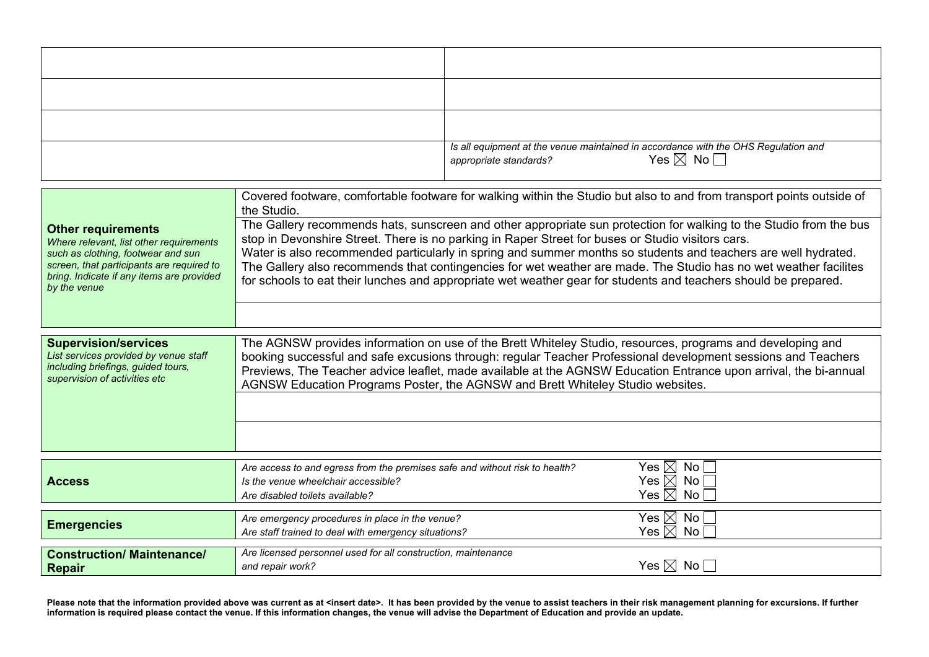| Is all equipment at the venue maintained in accordance with the OHS Regulation and<br>appropriate standards?<br>$Yes \boxtimes No \square$ |
|--------------------------------------------------------------------------------------------------------------------------------------------|

| <b>Other requirements</b><br>Where relevant, list other requirements<br>such as clothing, footwear and sun<br>screen, that participants are required to | Covered footware, comfortable footware for walking within the Studio but also to and from transport points outside of<br>the Studio.<br>The Gallery recommends hats, sunscreen and other appropriate sun protection for walking to the Studio from the bus<br>stop in Devonshire Street. There is no parking in Raper Street for buses or Studio visitors cars.<br>Water is also recommended particularly in spring and summer months so students and teachers are well hydrated.<br>The Gallery also recommends that contingencies for wet weather are made. The Studio has no wet weather facilites<br>for schools to eat their lunches and appropriate wet weather gear for students and teachers should be prepared. |                                                                              |  |  |
|---------------------------------------------------------------------------------------------------------------------------------------------------------|--------------------------------------------------------------------------------------------------------------------------------------------------------------------------------------------------------------------------------------------------------------------------------------------------------------------------------------------------------------------------------------------------------------------------------------------------------------------------------------------------------------------------------------------------------------------------------------------------------------------------------------------------------------------------------------------------------------------------|------------------------------------------------------------------------------|--|--|
| bring. Indicate if any items are provided<br>by the venue                                                                                               |                                                                                                                                                                                                                                                                                                                                                                                                                                                                                                                                                                                                                                                                                                                          |                                                                              |  |  |
|                                                                                                                                                         |                                                                                                                                                                                                                                                                                                                                                                                                                                                                                                                                                                                                                                                                                                                          |                                                                              |  |  |
| <b>Supervision/services</b><br>List services provided by venue staff<br>including briefings, guided tours,<br>supervision of activities etc             | The AGNSW provides information on use of the Brett Whiteley Studio, resources, programs and developing and<br>booking successful and safe excusions through: regular Teacher Professional development sessions and Teachers<br>Previews, The Teacher advice leaflet, made available at the AGNSW Education Entrance upon arrival, the bi-annual<br>AGNSW Education Programs Poster, the AGNSW and Brett Whiteley Studio websites.                                                                                                                                                                                                                                                                                        |                                                                              |  |  |
| <b>Access</b>                                                                                                                                           | Are access to and egress from the premises safe and without risk to health?<br>Is the venue wheelchair accessible?<br>Are disabled toilets available?                                                                                                                                                                                                                                                                                                                                                                                                                                                                                                                                                                    | Yes $\boxtimes$<br>No l<br>Yes $\boxtimes$ No $\Box$<br>Yes $\boxtimes$ No [ |  |  |
| <b>Emergencies</b>                                                                                                                                      | Are emergency procedures in place in the venue?<br>Are staff trained to deal with emergency situations?                                                                                                                                                                                                                                                                                                                                                                                                                                                                                                                                                                                                                  | Yes $\boxtimes$ No $\Box$<br>Yes $\boxtimes$ No $\Box$                       |  |  |
| <b>Construction/ Maintenance/</b><br><b>Repair</b>                                                                                                      | Are licensed personnel used for all construction, maintenance<br>and repair work?                                                                                                                                                                                                                                                                                                                                                                                                                                                                                                                                                                                                                                        | Yes $\boxtimes$ No $\Box$                                                    |  |  |

**Please note that the information provided above was current as at <insert date>. It has been provided by the venue to assist teachers in their risk management planning for excursions. If further information is required please contact the venue. If this information changes, the venue will advise the Department of Education and provide an update.**